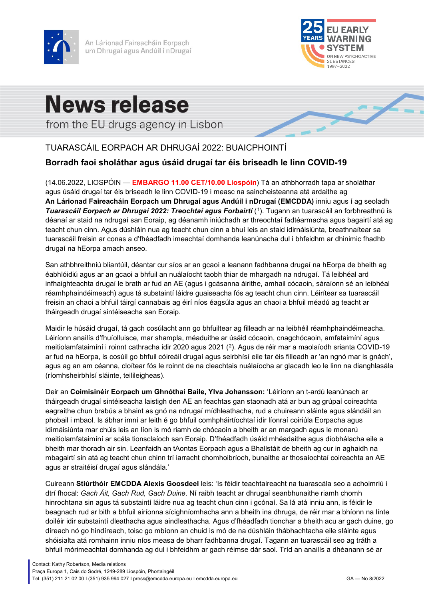

An Lárionad Faireacháin Eorpach um Dhrugaí agus Andúil i nDrugaí



 $\sim$ 

# **News release**

from the EU drugs agency in Lisbon

## TUARASCÁIL EORPACH AR DHRUGAÍ 2022: BUAICPHOINTÍ

### **Borradh faoi sholáthar agus úsáid drugaí tar éis briseadh le linn COVID-19**

(14.06.2022, LIOSPÓIN — **EMBARGO 11.00 CET/10.00 Liospóin**) Tá an athbhorradh tapa ar sholáthar agus úsáid drugaí tar éis briseadh le linn COVID-19 i measc na saincheisteanna atá ardaithe ag **An Lárionad Faireacháin Eorpach um Dhrugaí agus Andúil i nDrugaí (EMCDDA)** inniu agus í ag seoladh *Tuarascáil Eorpach ar Dhrugaí 2022: Treochtaí agus Forbairtí* ([1\)](#page-3-0). Tugann an tuarascáil an forbhreathnú is déanaí ar staid na ndrugaí san Eoraip, ag déanamh iniúchadh ar threochtaí fadtéarmacha agus bagairtí atá ag teacht chun cinn. Agus dúshláin nua ag teacht chun cinn a bhuí leis an staid idirnáisiúnta, breathnaítear sa tuarascáil freisin ar conas a d'fhéadfadh imeachtaí domhanda leanúnacha dul i bhfeidhm ar dhinimic fhadhb drugaí na hEorpa amach anseo.

San athbhreithniú bliantúil, déantar cur síos ar an gcaoi a leanann fadhbanna drugaí na hEorpa de bheith ag éabhlóidiú agus ar an gcaoi a bhfuil an nuálaíocht taobh thiar de mhargadh na ndrugaí. Tá leibhéal ard infhaighteachta drugaí le brath ar fud an AE (agus i gcásanna áirithe, amhail cócaoin, sáraíonn sé an leibhéal réamhphaindéimeach) agus tá substaintí láidre guaiseacha fós ag teacht chun cinn. Léirítear sa tuarascáil freisin an chaoi a bhfuil táirgí cannabais ag éirí níos éagsúla agus an chaoi a bhfuil méadú ag teacht ar tháirgeadh drugaí sintéiseacha san Eoraip.

Maidir le húsáid drugaí, tá gach cosúlacht ann go bhfuiltear ag filleadh ar na leibhéil réamhphaindéimeacha. Léiríonn anailís d'fhuíolluisce, mar shampla, méaduithe ar úsáid cócaoin, cnagchócaoin, amfataimíní agus meitiolamfataimíní i roinnt cathracha idir 2020 agus 2021 ([2](#page-3-1)). Agus de réir mar a maolaíodh srianta COVID-19 ar fud na hEorpa, is cosúil go bhfuil cóireáil drugaí agus seirbhísí eile tar éis filleadh ar 'an ngnó mar is gnách', agus ag an am céanna, cloítear fós le roinnt de na cleachtais nuálaíocha ar glacadh leo le linn na dianghlasála (ríomhsheirbhísí sláinte, teilileigheas).

Deir an **Coimisinéir Eorpach um Ghnóthaí Baile, Ylva Johansson:** 'Léiríonn an t-ardú leanúnach ar tháirgeadh drugaí sintéiseacha laistigh den AE an feachtas gan staonadh atá ar bun ag grúpaí coireachta eagraithe chun brabús a bhaint as gnó na ndrugaí mídhleathacha, rud a chuireann sláinte agus slándáil an phobail i mbaol. Is ábhar imní ar leith é go bhfuil comhpháirtíochtaí idir líonraí coiriúla Eorpacha agus idirnáisiúnta mar chúis leis an líon is mó riamh de chócaoin a bheith ar an margadh agus le monarú meitiolamfataimíní ar scála tionsclaíoch san Eoraip. D'fhéadfadh úsáid mhéadaithe agus díobhálacha eile a bheith mar thoradh air sin. Leanfaidh an tAontas Eorpach agus a Bhallstáit de bheith ag cur in aghaidh na mbagairtí sin atá ag teacht chun chinn trí iarracht chomhoibríoch, bunaithe ar thosaíochtaí coireachta an AE agus ar straitéisí drugaí agus slándála.'

Cuireann **Stiúrthóir EMCDDA Alexis Goosdeel** leis: 'Is féidir teachtaireacht na tuarascála seo a achoimriú i dtrí fhocal: *Gach Áit, Gach Rud, Gach Duine*. Ní raibh teacht ar dhrugaí seanbhunaithe riamh chomh hinrochtana sin agus tá substaintí láidre nua ag teacht chun cinn i gcónaí. Sa lá atá inniu ann, is féidir le beagnach rud ar bith a bhfuil airíonna sícighníomhacha ann a bheith ina dhruga, de réir mar a bhíonn na línte doiléir idir substaintí dleathacha agus aindleathacha. Agus d'fhéadfadh tionchar a bheith acu ar gach duine, go díreach nó go hindíreach, toisc go mbíonn an chuid is mó de na dúshláin thábhachtacha eile sláinte agus shóisialta atá romhainn inniu níos measa de bharr fadhbanna drugaí. Tagann an tuarascáil seo ag tráth a bhfuil mórimeachtaí domhanda ag dul i bhfeidhm ar gach réimse dár saol. Tríd an anailís a dhéanann sé ar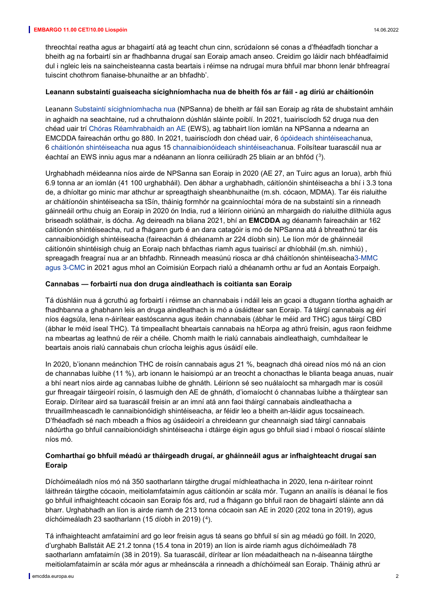#### **EMBARGO 11.00 CET/10.00 Liospóin** 14.06.2022

threochtaí reatha agus ar bhagairtí atá ag teacht chun cinn, scrúdaíonn sé conas a d'fhéadfadh tionchar a bheith ag na forbairtí sin ar fhadhbanna drugaí san Eoraip amach anseo. Creidim go láidir nach bhféadfaimid dul i ngleic leis na saincheisteanna casta beartais i réimse na ndrugaí mura bhfuil mar bhonn lenár bhfreagraí tuiscint chothrom fianaise-bhunaithe ar an bhfadhb'.

#### **Leanann substaintí guaiseacha sícighníomhacha nua de bheith fós ar fáil - ag díriú ar cháitíonóin**

Leanann [Substaintí sícighníomhacha nua](https://www.emcdda.europa.eu/topics/nps_en) (NPSanna) de bheith ar fáil san Eoraip ag ráta de shubstaint amháin in aghaidh na seachtaine, rud a chruthaíonn dúshlán sláinte poiblí. In 2021, tuairiscíodh 52 druga nua den chéad uair trí [Chóras Réamhrabhaidh an AE](https://www.emcdda.europa.eu/publications/topic-overviews/eu-early-warning-system_en) (EWS), ag tabhairt líon iomlán na NPSanna a ndearna an EMCDDA faireachán orthu go 880. In 2021, tuairiscíodh don chéad uair, 6 [ópóideach shintéiseachan](https://www.emcdda.europa.eu/spotlights/fentanils-and-other-new-opioids_en)ua, 6 [cháitíonón shintéiseacha](https://www.emcdda.europa.eu/topics/synthetic-cathinones_en) nua agus 15 [channaibionóideach shintéiseachan](https://www.emcdda.europa.eu/topics/synthetic-cannabinoids_en)ua. Foilsítear tuarascáil nua ar éachtaí an EWS inniu agus mar a ndéanann an líonra ceiliúradh 25 bliain ar an bhfód ([3\)](#page-3-2).

Urghabhadh méideanna níos airde de NPSanna san Eoraip in 2020 (AE 27, an Tuirc agus an Iorua), arbh fhiú 6.9 tonna ar an iomlán (41 100 urghabháil). Den ábhar a urghabhadh, cáitíonóin shintéiseacha a bhí i 3.3 tona de, a dhíoltar go minic mar athchur ar spreagthaigh sheanbhunaithe (m.sh. cócaon, MDMA). Tar éis rialuithe ar cháitíonóin shintéiseacha sa tSín, tháinig formhór na gcainníochtaí móra de na substaintí sin a rinneadh gáinneáil orthu chuig an Eoraip in 2020 ón India, rud a léiríonn oiriúnú an mhargaidh do rialuithe dlíthiúla agus briseadh soláthair, is dócha. Ag deireadh na bliana 2021, bhí an **EMCDDA** ag déanamh faireacháin ar 162 cáitíonón shintéiseacha, rud a fhágann gurb é an dara catagóir is mó de NPSanna atá á bhreathnú tar éis cannaibionóidigh shintéiseacha (faireachán á dhéanamh ar 224 díobh sin). Le líon mór de gháinneáil cáitíonóin shintéisigh chuig an Eoraip nach bhfacthas riamh agus tuairiscí ar dhíobháil (m.sh. nimhiú) , spreagadh freagraí nua ar an bhfadhb. Rinneadh measúnú riosca ar dhá cháitíonón shintéiseach[a3-MMC](https://www.emcdda.europa.eu/news/2022/3/european-commission-adopts-measures-control-two-harmful-new-drugs_en)  [agus 3-CMC](https://www.emcdda.europa.eu/news/2022/3/european-commission-adopts-measures-control-two-harmful-new-drugs_en) in 2021 agus mhol an Coimisiún Eorpach rialú a dhéanamh orthu ar fud an Aontais Eorpaigh.

#### **Cannabas — forbairtí nua don druga aindleathach is coitianta san Eoraip**

Tá dúshláin nua á gcruthú ag forbairtí i réimse an channabais i ndáil leis an gcaoi a dtugann tíortha aghaidh ar fhadhbanna a ghabhann leis an druga aindleathach is mó a úsáidtear san Eoraip. Tá táirgí cannabais ag éirí níos éagsúla, lena n-áirítear eastóscanna agus iteáin channabais (ábhar le méid ard THC) agus táirgí CBD (ábhar le méid íseal THC). Tá timpeallacht bheartais cannabais na hEorpa ag athrú freisin, agus raon feidhme na mbeartas ag leathnú de réir a chéile. Chomh maith le rialú cannabais aindleathaigh, cumhdaítear le beartais anois rialú cannabais chun críocha leighis agus úsáidí eile.

In 2020, b'ionann meánchion THC de roisín cannabais agus 21 %, beagnach dhá oiread níos mó ná an cion de channabas luibhe (11 %), arb ionann le haisiompú ar an treocht a chonacthas le blianta beaga anuas, nuair a bhí neart níos airde ag cannabas luibhe de ghnáth. Léiríonn sé seo nuálaíocht sa mhargadh mar is cosúil gur fhreagair táirgeoirí roisín, ó lasmuigh den AE de ghnáth, d'iomaíocht ó channabas luibhe a tháirgtear san Eoraip. Dírítear aird sa tuarascáil freisin ar an imní atá ann faoi tháirgí cannabais aindleathacha a thruaillmheascadh le cannaibionóidigh shintéiseacha, ar féidir leo a bheith an-láidir agus tocsaineach. D'fhéadfadh sé nach mbeadh a fhios ag úsáideoirí a chreideann gur cheannaigh siad táirgí cannabais nádúrtha go bhfuil cannaibionóidigh shintéiseacha i dtáirge éigin agus go bhfuil siad i mbaol ó rioscaí sláinte níos mó.

#### **Comharthaí go bhfuil méadú ar tháirgeadh drugaí, ar gháinneáil agus ar infhaighteacht drugaí san Eoraip**

Díchóimeáladh níos mó ná 350 saotharlann táirgthe drugaí mídhleathacha in 2020, lena n-áirítear roinnt láithreán táirgthe cócaoin, meitiolamfataimín agus cáitíonóin ar scála mór. Tugann an anailís is déanaí le fios go bhfuil infhaighteacht cócaoin san Eoraip fós ard, rud a fhágann go bhfuil raon de bhagairtí sláinte ann dá bharr. Urghabhadh an líon is airde riamh de 213 tonna cócaoin san AE in 2020 (202 tona in 2019), agus díchóimeáladh 23 saotharlann (15 díobh in 2019) ([4](#page-3-3)).

Tá infhaighteacht amfataimíní ard go leor freisin agus tá seans go bhfuil sí sin ag méadú go fóill. In 2020, d'urghabh Ballstáit AE 21.2 tonna (15.4 tona in 2019) an líon is airde riamh agus díchóimeáladh 78 saotharlann amfataimín (38 in 2019). Sa tuarascáil, dírítear ar líon méadaitheach na n-áiseanna táirgthe meitiolamfataimín ar scála mór agus ar mheánscála a rinneadh a dhíchóimeál san Eoraip. Tháinig athrú ar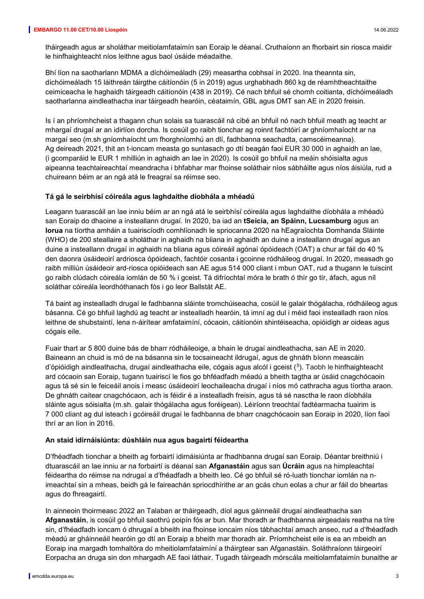tháirgeadh agus ar sholáthar meitiolamfataimín san Eoraip le déanaí. Cruthaíonn an fhorbairt sin riosca maidir le hinfhaighteacht níos leithne agus baol úsáide méadaithe.

Bhí líon na saotharlann MDMA a díchóimeáladh (29) measartha cobhsaí in 2020. Ina theannta sin, díchóimeáladh 15 láithreán táirgthe cáitíonóin (5 in 2019) agus urghabhadh 860 kg de réamhtheachtaithe ceimiceacha le haghaidh táirgeadh cáitíonóin (438 in 2019). Cé nach bhfuil sé chomh coitianta, díchóimeáladh saotharlanna aindleathacha inar táirgeadh hearóin, céataimín, GBL agus DMT san AE in 2020 freisin.

Is í an phríomhcheist a thagann chun solais sa tuarascáil ná cibé an bhfuil nó nach bhfuil meath ag teacht ar mhargaí drugaí ar an idirlíon dorcha. Is cosúil go raibh tionchar ag roinnt fachtóirí ar ghníomhaíocht ar na margaí seo (m.sh gníomhaíocht um fhorghníomhú an dlí, fadhbanna seachadta, camscéimeanna). Ag deireadh 2021, thit an t-ioncam measta go suntasach go dtí beagán faoi EUR 30 000 in aghaidh an lae, (i gcomparáid le EUR 1 mhilliún in aghaidh an lae in 2020). Is cosúil go bhfuil na meáin shóisialta agus aipeanna teachtaireachtaí meandracha i bhfabhar mar fhoinse soláthair níos sábháilte agus níos áisiúla, rud a chuireann béim ar an ngá atá le freagraí sa réimse seo.

#### **Tá gá le seirbhísí cóireála agus laghdaithe díobhála a mhéadú**

Leagann tuarascáil an lae inniu béim ar an ngá atá le seirbhísí cóireála agus laghdaithe díobhála a mhéadú san Eoraip do dhaoine a insteallann drugaí. In 2020, ba iad an **tSeicia, an Spáinn, Lucsamburg** agus an **Iorua** na tíortha amháin a tuairiscíodh comhlíonadh le spriocanna 2020 na hEagraíochta Domhanda Sláinte (WHO) de 200 steallaire a sholáthar in aghaidh na bliana in aghaidh an duine a insteallann drugaí agus an duine a insteallann drugaí in aghaidh na bliana agus cóireáil agónaí ópóideach (OAT) a chur ar fáil do 40 % den daonra úsáideoirí ardriosca ópóideach, fachtóir cosanta i gcoinne ródháileog drugaí. In 2020, measadh go raibh milliún úsáideoir ard-riosca opióideach san AE agus 514 000 cliant i mbun OAT, rud a thugann le tuiscint go raibh clúdach cóireála iomlán de 50 % i gceist. Tá difríochtaí móra le brath ó thír go tír, áfach, agus níl soláthar cóireála leordhóthanach fós i go leor Ballstát AE.

Tá baint ag instealladh drugaí le fadhbanna sláinte tromchúiseacha, cosúil le galair thógálacha, ródháileog agus básanna. Cé go bhfuil laghdú ag teacht ar instealladh hearóin, tá imní ag dul i méid faoi instealladh raon níos leithne de shubstaintí, lena n-áirítear amfataimíní, cócaoin, cáitíonóin shintéiseacha, opióidigh ar oideas agus cógais eile.

Fuair thart ar 5 800 duine bás de bharr ródháileoige, a bhain le drugaí aindleathacha, san AE in 2020. Baineann an chuid is mó de na básanna sin le tocsaineacht ildrugaí, agus de ghnáth bíonn meascáin d'ópióidigh aindleathacha, drugaí aindleathacha eile, cógais agus alcól i gceist ([5](#page-3-4)). Taobh le hinfhaighteacht ard cócaoin san Eoraip, tugann tuairiscí le fios go bhféadfadh méadú a bheith tagtha ar úsáid cnagchócaoin agus tá sé sin le feiceáil anois i measc úsáideoirí leochaileacha drugaí i níos mó cathracha agus tíortha araon. De ghnáth caitear cnagchócaon, ach is féidir é a instealladh freisin, agus tá sé nasctha le raon díobhála sláinte agus sóisialta (m.sh. galair thógálacha agus foréigean). Léiríonn treochtaí fadtéarmacha tuairim is 7 000 cliant ag dul isteach i gcóireáil drugaí le fadhbanna de bharr cnagchócaoin san Eoraip in 2020, líon faoi thrí ar an líon in 2016.

#### **An staid idirnáisiúnta: dúshláin nua agus bagairtí féideartha**

D'fhéadfadh tionchar a bheith ag forbairtí idirnáisiúnta ar fhadhbanna drugaí san Eoraip. Déantar breithniú i dtuarascáil an lae inniu ar na forbairtí is déanaí san **Afganastáin** agus san **Úcráin** agus na himpleachtaí féideartha do réimse na ndrugaí a d'fhéadfadh a bheith leo. Cé go bhfuil sé ró-luath tionchar iomlán na nimeachtaí sin a mheas, beidh gá le faireachán spriocdhírithe ar an gcás chun eolas a chur ar fáil do bheartas agus do fhreagairtí.

In ainneoin thoirmeasc 2022 an Talaban ar tháirgeadh, díol agus gáinneáil drugaí aindleathacha san **Afganastáin**, is cosúil go bhfuil saothrú poipín fós ar bun. Mar thoradh ar fhadhbanna airgeadais reatha na tíre sin, d'fhéadfadh ioncam ó dhrugaí a bheith ina fhoinse ioncaim níos tábhachtaí amach anseo, rud a d'fhéadfadh méadú ar gháinneáil hearóin go dtí an Eoraip a bheith mar thoradh air. Príomhcheist eile is ea an mbeidh an Eoraip ina margadh tomhaltóra do mheitiolamfataimíní a tháirgtear san Afganastáin. Soláthraíonn táirgeoirí Eorpacha an druga sin don mhargadh AE faoi láthair. Tugadh táirgeadh mórscála meitiolamfataimín bunaithe ar